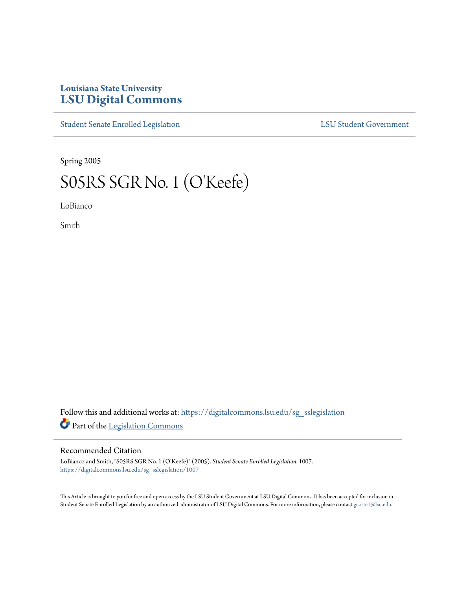## **Louisiana State University [LSU Digital Commons](https://digitalcommons.lsu.edu?utm_source=digitalcommons.lsu.edu%2Fsg_sslegislation%2F1007&utm_medium=PDF&utm_campaign=PDFCoverPages)**

[Student Senate Enrolled Legislation](https://digitalcommons.lsu.edu/sg_sslegislation?utm_source=digitalcommons.lsu.edu%2Fsg_sslegislation%2F1007&utm_medium=PDF&utm_campaign=PDFCoverPages) [LSU Student Government](https://digitalcommons.lsu.edu/sg?utm_source=digitalcommons.lsu.edu%2Fsg_sslegislation%2F1007&utm_medium=PDF&utm_campaign=PDFCoverPages)

Spring 2005

## S05RS SGR No. 1 (O'Keefe)

LoBianco

Smith

Follow this and additional works at: [https://digitalcommons.lsu.edu/sg\\_sslegislation](https://digitalcommons.lsu.edu/sg_sslegislation?utm_source=digitalcommons.lsu.edu%2Fsg_sslegislation%2F1007&utm_medium=PDF&utm_campaign=PDFCoverPages) Part of the [Legislation Commons](http://network.bepress.com/hgg/discipline/859?utm_source=digitalcommons.lsu.edu%2Fsg_sslegislation%2F1007&utm_medium=PDF&utm_campaign=PDFCoverPages)

## Recommended Citation

LoBianco and Smith, "S05RS SGR No. 1 (O'Keefe)" (2005). *Student Senate Enrolled Legislation*. 1007. [https://digitalcommons.lsu.edu/sg\\_sslegislation/1007](https://digitalcommons.lsu.edu/sg_sslegislation/1007?utm_source=digitalcommons.lsu.edu%2Fsg_sslegislation%2F1007&utm_medium=PDF&utm_campaign=PDFCoverPages)

This Article is brought to you for free and open access by the LSU Student Government at LSU Digital Commons. It has been accepted for inclusion in Student Senate Enrolled Legislation by an authorized administrator of LSU Digital Commons. For more information, please contact [gcoste1@lsu.edu.](mailto:gcoste1@lsu.edu)